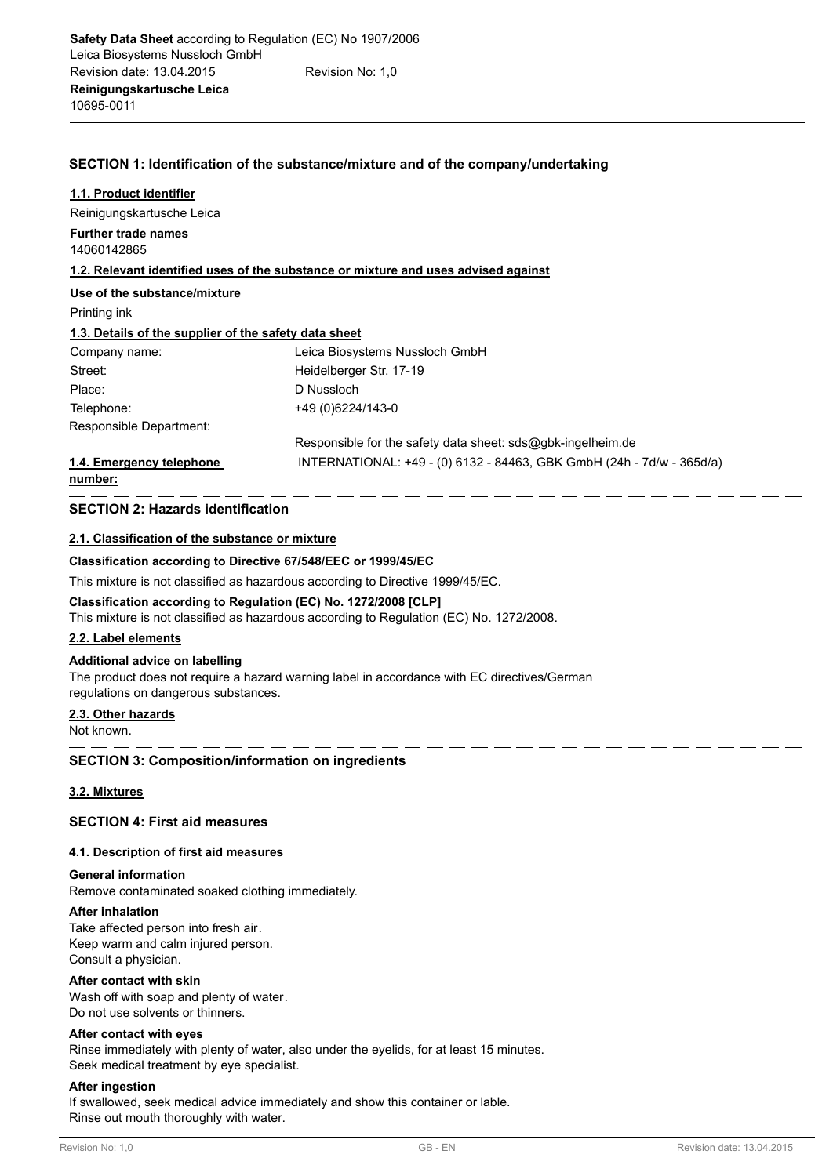## **SECTION 1: Identification of the substance/mixture and of the company/undertaking**

| 1.1. Product identifier                               |                                                                                    |
|-------------------------------------------------------|------------------------------------------------------------------------------------|
| Reinigungskartusche Leica                             |                                                                                    |
| <b>Further trade names</b><br>14060142865             |                                                                                    |
|                                                       | 1.2. Relevant identified uses of the substance or mixture and uses advised against |
| Use of the substance/mixture                          |                                                                                    |
| Printing ink                                          |                                                                                    |
| 1.3. Details of the supplier of the safety data sheet |                                                                                    |
| Company name:                                         | Leica Biosystems Nussloch GmbH                                                     |
| Street:                                               | Heidelberger Str. 17-19                                                            |
| Place:                                                | D Nussloch                                                                         |
| Telephone:                                            | +49 (0) 6224/143-0                                                                 |
| Responsible Department:                               |                                                                                    |
|                                                       | Responsible for the safety data sheet: sds@gbk-ingelheim.de                        |
| 1.4. Emergency telephone<br>number:                   | INTERNATIONAL: +49 - (0) 6132 - 84463, GBK GmbH (24h - 7d/w - 365d/a)              |
|                                                       |                                                                                    |

### **SECTION 2: Hazards identification**

## **2.1. Classification of the substance or mixture**

### **Classification according to Directive 67/548/EEC or 1999/45/EC**

This mixture is not classified as hazardous according to Directive 1999/45/EC.

### **Classification according to Regulation (EC) No. 1272/2008 [CLP]**

This mixture is not classified as hazardous according to Regulation (EC) No. 1272/2008.

## **2.2. Label elements**

#### **Additional advice on labelling**

The product does not require a hazard warning label in accordance with EC directives/German regulations on dangerous substances.

#### **2.3. Other hazards**

Not known.

## **SECTION 3: Composition/information on ingredients**

## **3.2. Mixtures**

## **SECTION 4: First aid measures**

#### **4.1. Description of first aid measures**

#### **General information**

Remove contaminated soaked clothing immediately.

#### **After inhalation**

Take affected person into fresh air. Keep warm and calm injured person. Consult a physician.

#### **After contact with skin**

Wash off with soap and plenty of water. Do not use solvents or thinners.

#### **After contact with eyes**

Rinse immediately with plenty of water, also under the eyelids, for at least 15 minutes. Seek medical treatment by eye specialist.

### **After ingestion**

If swallowed, seek medical advice immediately and show this container or lable. Rinse out mouth thoroughly with water.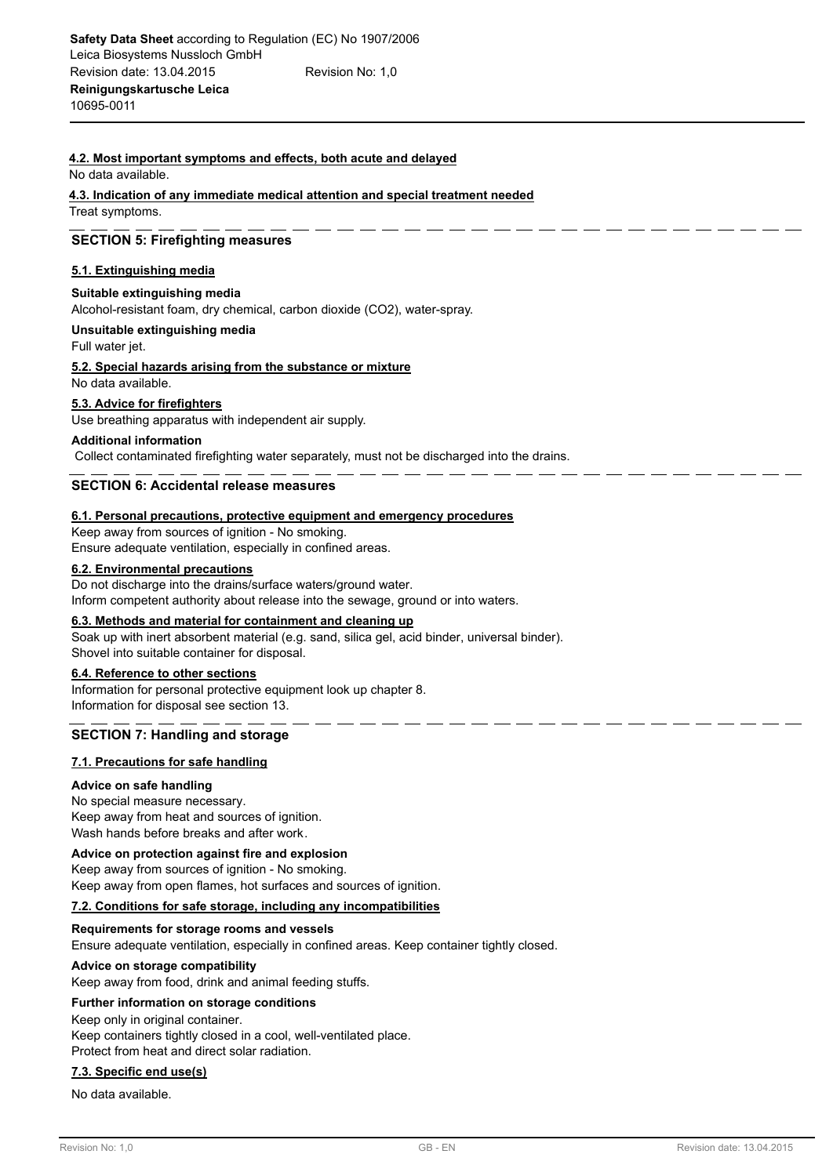## **4.2. Most important symptoms and effects, both acute and delayed**

No data available.

**4.3. Indication of any immediate medical attention and special treatment needed** Treat symptoms.

### **SECTION 5: Firefighting measures**

#### **5.1. Extinguishing media**

#### **Suitable extinguishing media**

Alcohol-resistant foam, dry chemical, carbon dioxide (CO2), water-spray.

## **Unsuitable extinguishing media**

Full water jet.

**5.2. Special hazards arising from the substance or mixture**

No data available.

#### **5.3. Advice for firefighters**

Use breathing apparatus with independent air supply.

#### **Additional information**

Collect contaminated firefighting water separately, must not be discharged into the drains.

### **SECTION 6: Accidental release measures**

#### **6.1. Personal precautions, protective equipment and emergency procedures**

Keep away from sources of ignition - No smoking. Ensure adequate ventilation, especially in confined areas.

#### **6.2. Environmental precautions**

Do not discharge into the drains/surface waters/ground water. Inform competent authority about release into the sewage, ground or into waters.

#### **6.3. Methods and material for containment and cleaning up**

Soak up with inert absorbent material (e.g. sand, silica gel, acid binder, universal binder). Shovel into suitable container for disposal.

#### **6.4. Reference to other sections**

Information for personal protective equipment look up chapter 8. Information for disposal see section 13.

# **SECTION 7: Handling and storage**

#### **7.1. Precautions for safe handling**

#### **Advice on safe handling**

No special measure necessary. Keep away from heat and sources of ignition. Wash hands before breaks and after work.

## **Advice on protection against fire and explosion**

Keep away from sources of ignition - No smoking. Keep away from open flames, hot surfaces and sources of ignition.

#### **7.2. Conditions for safe storage, including any incompatibilities**

#### **Requirements for storage rooms and vessels**

Ensure adequate ventilation, especially in confined areas. Keep container tightly closed.

#### **Advice on storage compatibility**

Keep away from food, drink and animal feeding stuffs.

#### **Further information on storage conditions**

Keep only in original container.

Keep containers tightly closed in a cool, well-ventilated place.

Protect from heat and direct solar radiation.

#### **7.3. Specific end use(s)**

No data available.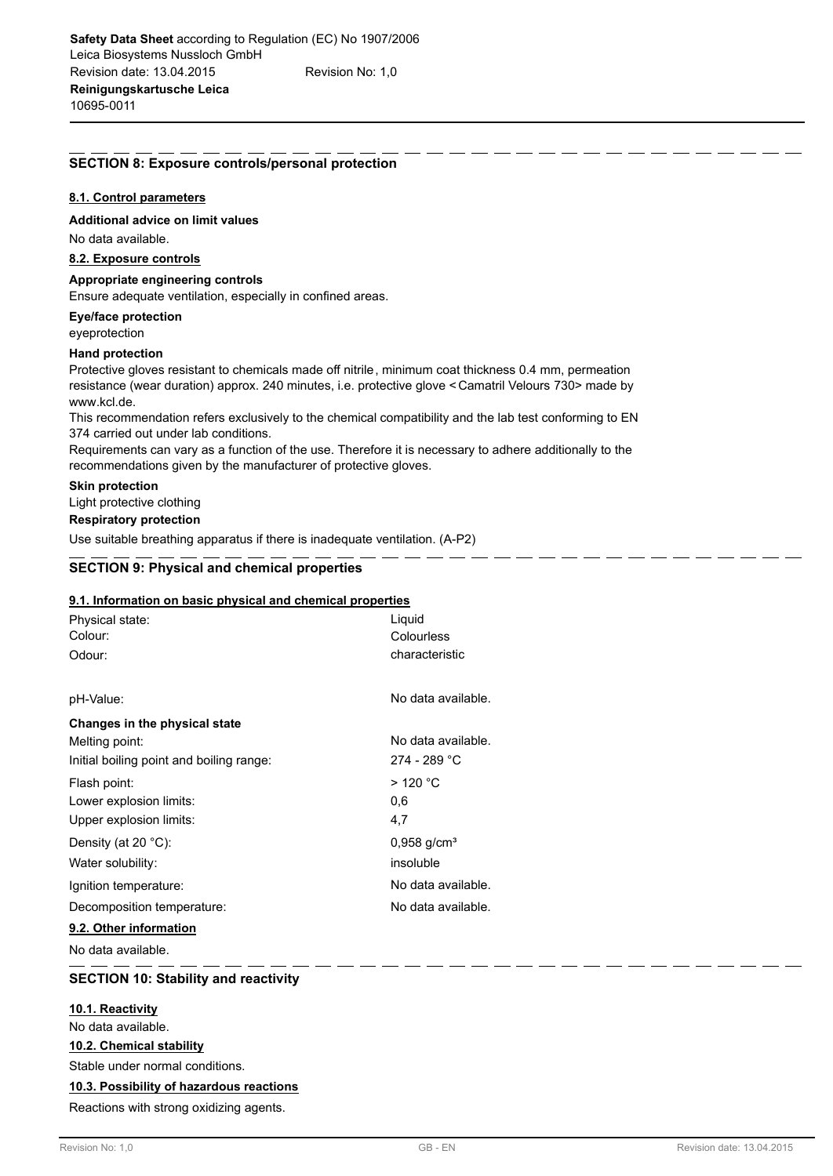## **SECTION 8: Exposure controls/personal protection**

#### **8.1. Control parameters**

**Additional advice on limit values**

No data available.

#### **8.2. Exposure controls**

**Appropriate engineering controls**

Ensure adequate ventilation, especially in confined areas.

**Eye/face protection**

eyeprotection

## **Hand protection**

Protective gloves resistant to chemicals made off nitrile, minimum coat thickness 0.4 mm, permeation resistance (wear duration) approx. 240 minutes, i.e. protective glove < Camatril Velours 730> made by www.kcl.de.

This recommendation refers exclusively to the chemical compatibility and the lab test conforming to EN 374 carried out under lab conditions.

Requirements can vary as a function of the use. Therefore it is necessary to adhere additionally to the recommendations given by the manufacturer of protective gloves.

#### **Skin protection**

Light protective clothing

# **Respiratory protection**

Use suitable breathing apparatus if there is inadequate ventilation. (A-P2)

## **SECTION 9: Physical and chemical properties**

#### **9.1. Information on basic physical and chemical properties**

| Physical state:                          | Liquid                    |  |  |
|------------------------------------------|---------------------------|--|--|
| Colour:                                  | Colourless                |  |  |
| Odour:                                   | characteristic            |  |  |
|                                          |                           |  |  |
| pH-Value:                                | No data available.        |  |  |
| Changes in the physical state            |                           |  |  |
| Melting point:                           | No data available.        |  |  |
| Initial boiling point and boiling range: | 274 - 289 °C              |  |  |
| Flash point:                             | $>$ 120 °C                |  |  |
| Lower explosion limits:                  | 0,6                       |  |  |
| Upper explosion limits:                  | 4,7                       |  |  |
| Density (at 20 $^{\circ}$ C):            | $0,958$ g/cm <sup>3</sup> |  |  |
| Water solubility:                        | insoluble                 |  |  |
| Ignition temperature:                    | No data available.        |  |  |
| Decomposition temperature:               | No data available.        |  |  |
|                                          |                           |  |  |

**9.2. Other information**

No data available.

## **SECTION 10: Stability and reactivity**

### **10.1. Reactivity**

No data available.

## **10.2. Chemical stability**

Stable under normal conditions.

## **10.3. Possibility of hazardous reactions**

Reactions with strong oxidizing agents.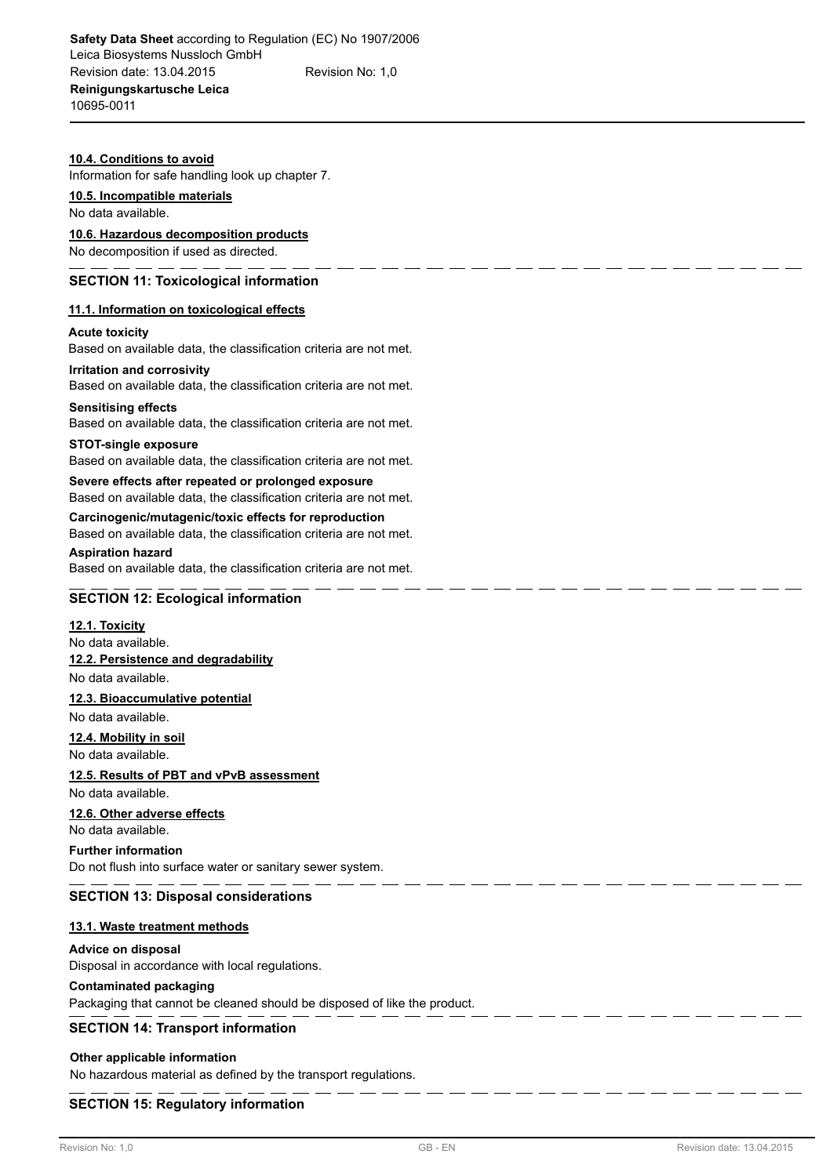#### **10.4. Conditions to avoid**

Information for safe handling look up chapter 7.

#### **10.5. Incompatible materials**

No data available.

#### **10.6. Hazardous decomposition products**

No decomposition if used as directed.

## **SECTION 11: Toxicological information**

#### **11.1. Information on toxicological effects**

#### **Acute toxicity**

Based on available data, the classification criteria are not met.

#### **Irritation and corrosivity**

Based on available data, the classification criteria are not met.

#### **Sensitising effects**

Based on available data, the classification criteria are not met.

#### **STOT-single exposure**

Based on available data, the classification criteria are not met.

#### **Severe effects after repeated or prolonged exposure** Based on available data, the classification criteria are not met.

**Carcinogenic/mutagenic/toxic effects for reproduction** Based on available data, the classification criteria are not met.

# **Aspiration hazard**

Based on available data, the classification criteria are not met.

# **SECTION 12: Ecological information**

#### **12.1. Toxicity**

No data available. **12.2. Persistence and degradability** No data available.

# **12.3. Bioaccumulative potential**

No data available.

# **12.4. Mobility in soil**

No data available.

# **12.5. Results of PBT and vPvB assessment**

No data available.

# **12.6. Other adverse effects**

No data available.

# **Further information**

Do not flush into surface water or sanitary sewer system.

# **SECTION 13: Disposal considerations**

# **13.1. Waste treatment methods**

# **Advice on disposal**

Disposal in accordance with local regulations.

# **Contaminated packaging**

Packaging that cannot be cleaned should be disposed of like the product.

# **SECTION 14: Transport information**

# **Other applicable information**

No hazardous material as defined by the transport regulations.

# **SECTION 15: Regulatory information**